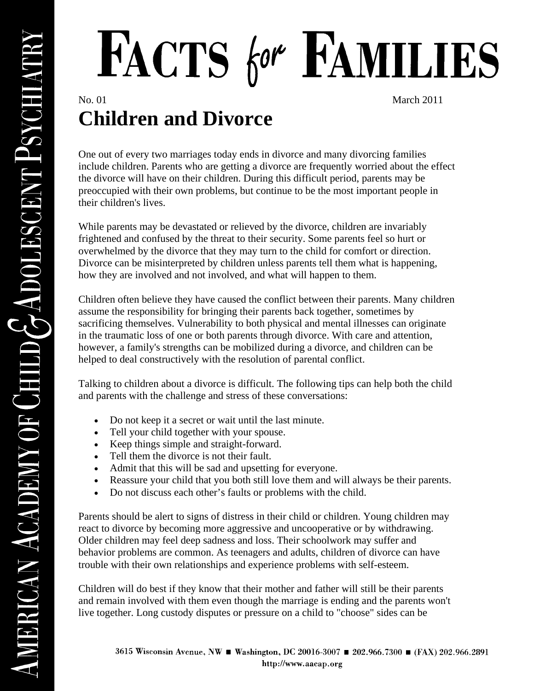## FACTS for FAMILIES

No. 01 March 2011

## **Children and Divorce**

One out of every two marriages today ends in divorce and many divorcing families include children. Parents who are getting a divorce are frequently worried about the effect the divorce will have on their children. During this difficult period, parents may be preoccupied with their own problems, but continue to be the most important people in their children's lives.

While parents may be devastated or relieved by the divorce, children are invariably frightened and confused by the threat to their security. Some parents feel so hurt or overwhelmed by the divorce that they may turn to the child for comfort or direction. Divorce can be misinterpreted by children unless parents tell them what is happening, how they are involved and not involved, and what will happen to them.

Children often believe they have caused the conflict between their parents. Many children assume the responsibility for bringing their parents back together, sometimes by sacrificing themselves. Vulnerability to both physical and mental illnesses can originate in the traumatic loss of one or both parents through divorce. With care and attention, however, a family's strengths can be mobilized during a divorce, and children can be helped to deal constructively with the resolution of parental conflict.

Talking to children about a divorce is difficult. The following tips can help both the child and parents with the challenge and stress of these conversations:

- Do not keep it a secret or wait until the last minute.
- Tell your child together with your spouse.
- Keep things simple and straight-forward.
- Tell them the divorce is not their fault.
- Admit that this will be sad and upsetting for everyone.
- Reassure your child that you both still love them and will always be their parents.
- Do not discuss each other's faults or problems with the child.

Parents should be alert to signs of distress in their child or children. Young children may react to divorce by becoming more aggressive and uncooperative or by withdrawing. Older children may feel deep sadness and loss. Their schoolwork may suffer and behavior problems are common. As teenagers and adults, children of divorce can have trouble with their own relationships and experience problems with self-esteem.

Children will do best if they know that their mother and father will still be their parents and remain involved with them even though the marriage is ending and the parents won't live together. Long custody disputes or pressure on a child to "choose" sides can be